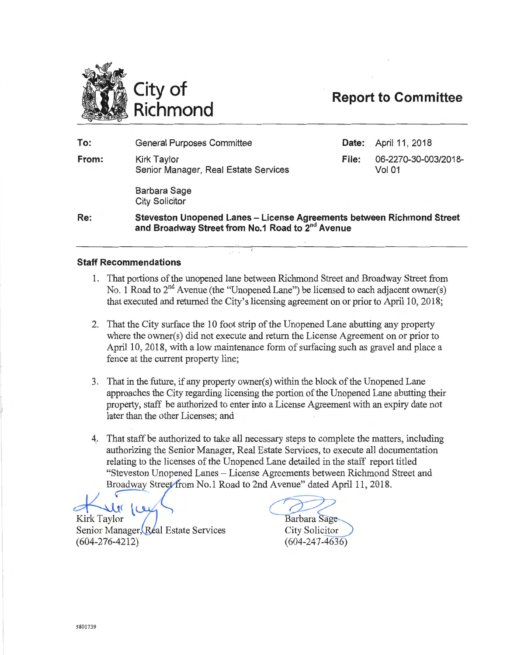

# **Richmond Report to Committee**

**To: Date:** April 11, 2018 **From:**  General Purposes Committee Kirk Taylor **File:** 06-2270-30-003/2018- Senior Manager, Real Estate Services Barbara Sage City Solicitor Vol 01

**Re: Steveston Unopened Lanes- License Agreements between Richmond Street and Broadway Street from No.1 Road to** 2nd **Avenue** 

# **Staff Recommendations**

- 1. That portions of the unopened lane between Richmond Street and Broadway Street from No. 1 Road to  $2^{nd}$  Avenue (the "Unopened Lane") be licensed to each adjacent owner(s) that executed and returned the City's licensing agreement on or prior to April 10, 2018;
- 2. That the City surface the 10 foot strip of the Unopened Lane abutting any property where the owner(s) did not execute and return the License Agreement on or prior to April 10, 2018, with a low maintenance form of surfacing such as gravel and place a fence at the current property line;
- 3. That in the future, if any property owner(s) within the block of the Unopened Lane approaches the City regarding licensing the portion of the Unopened Lane abutting their property, staff be authorized to enter into a License Agreement with an expiry date not later than the other Licenses; and
- 4. That staff be authorized to take all necessary steps to complete the matters, including authorizing the Senior Manager, Real Estate Services, to execute all documentation relating to the licenses of the Unopened Lane de authorizing the Senior Manager, Real Estate Services, to execute all documentation relating to the licenses of the Unopened Lane detailed in the staff report titled "Steveston Unopened Lanes- License Agreements between Richmond Street and Broadway Street from No.1 Road to 2nd Avenue" dated April 11, 2018.

Kirk Taylor<br>Senior Manager, Real Estate Services (604-276-4212)

Barbara Sage

**City Solicitor**  $(604 - 247 - 4636)$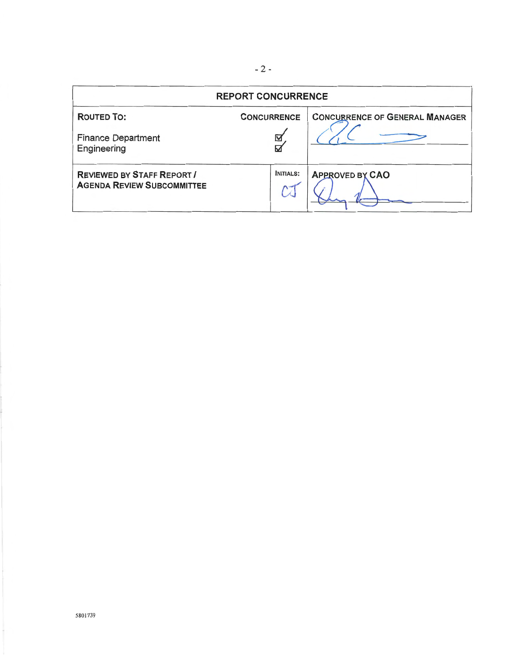| <b>REPORT CONCURRENCE</b>                                              |                              |                                       |
|------------------------------------------------------------------------|------------------------------|---------------------------------------|
| <b>ROUTED TO:</b><br><b>Finance Department</b><br>Engineering          | <b>CONCURRENCE</b><br>☑<br>⊠ | <b>CONCURRENCE OF GENERAL MANAGER</b> |
| <b>REVIEWED BY STAFF REPORT /</b><br><b>AGENDA REVIEW SUBCOMMITTEE</b> | <b>INITIALS:</b>             | <b>APPROVED BY CAO</b>                |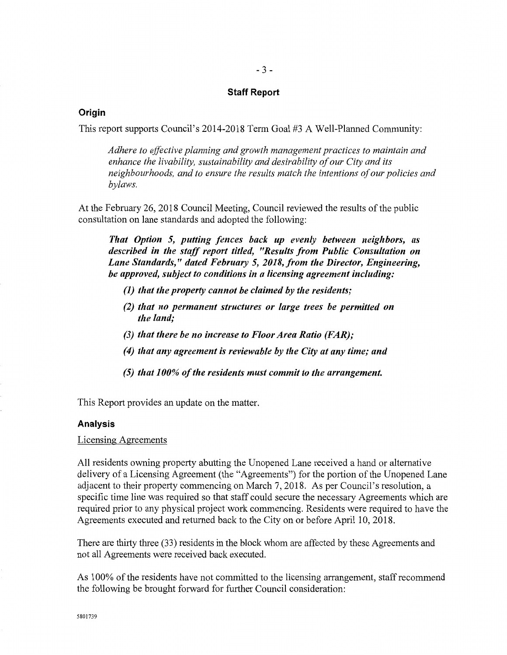# - 3-

#### **Staff Report**

#### **Origin**

This report supports Council's 2014-2018 Term Goal #3 A Well-Planned Community:

*Adhere to effective planning and growth management practices to maintain and enhance the livability, sustainability and desirability of our City and its neighbourhoods, and to ensure the results match the intentions of our policies and bylaws.* 

At the February 26, 2018 Council Meeting, Council reviewed the results of the public consultation on lane standards and adopted the following:

*That Option 5, putting fences back up evenly between neighbors, as described in the staff report titled, "Results from Public Consultation on Lane Standards," dated February 5, 2018, from the Director, Engineering, be approved, subject to conditions in a licensing agreement including:* 

- *(1) that the property cannot be claimed by the residents;*
- *(2) that no permanent structures or large trees be permitted on the land;*
- *(3) that there be no increase to Floor Area Ratio (FAR);*
- *(4) that any agreement is reviewable by the City at any time; and*
- *(5) that 100% of the residents must commit to the arrangement.*

This Report provides an update on the matter.

#### **Analysis**

#### Licensing Agreements

All residents owning property abutting the Unopened Lane received a hand or alternative delivery of a Licensing Agreement (the "Agreements") for the portion of the Unopened Lane adjacent to their property commencing on March 7, 2018. As per Council's resolution, a specific time line was required so that staff could secure the necessary Agreements which are required prior to any physical project work commencing. Residents were required to have the Agreements executed and returned back to the City on or before April 10, 2018.

There are thirty three (33) residents in the block whom are affected by these Agreements and not all Agreements were received back executed.

As 1 00% of the residents have not committed to the licensing arrangement, staff recommend the following be brought forward for further Council consideration: